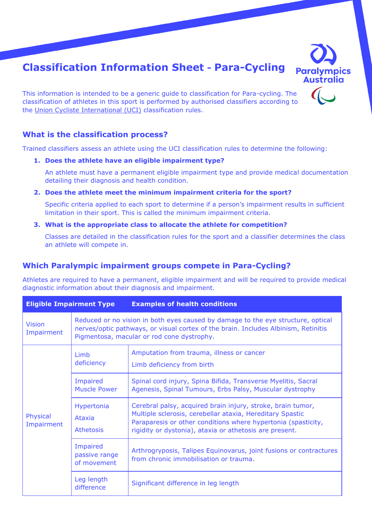# **Classification Information Sheet - Para-Cycling**



This information is intended to be a generic guide to classification for Para-cycling. The classification of athletes in this sport is performed by authorised classifiers according to the Union Cycliste International (UCI) classification rules.

#### **What is the classification process?**

Trained classifiers assess an athlete using the UCI classification rules to determine the following:

#### **1. Does the athlete have an eligible impairment type?**

An athlete must have a permanent eligible impairment type and provide medical documentation detailing their diagnosis and health condition.

**2. Does the athlete meet the minimum impairment criteria for the sport?** 

Specific criteria applied to each sport to determine if a person's impairment results in sufficient limitation in their sport. This is called the minimum impairment criteria.

**3. What is the appropriate class to allocate the athlete for competition?** 

Classes are detailed in the classification rules for the sport and a classifier determines the class an athlete will compete in.

#### **Which Paralympic impairment groups compete in Para-Cycling?**

Athletes are required to have a permanent, eligible impairment and will be required to provide medical diagnostic information about their diagnosis and impairment.

| <b>Eligible Impairment Type</b> |                                          | <b>Examples of health conditions</b>                                                                                                                                                                                                                 |
|---------------------------------|------------------------------------------|------------------------------------------------------------------------------------------------------------------------------------------------------------------------------------------------------------------------------------------------------|
| <b>Vision</b><br>Impairment     |                                          | Reduced or no vision in both eyes caused by damage to the eye structure, optical<br>nerves/optic pathways, or visual cortex of the brain. Includes Albinism, Retinitis<br>Pigmentosa, macular or rod cone dystrophy.                                 |
|                                 | Limb<br>deficiency                       | Amputation from trauma, illness or cancer<br>Limb deficiency from birth                                                                                                                                                                              |
|                                 | Impaired<br><b>Muscle Power</b>          | Spinal cord injury, Spina Bifida, Transverse Myelitis, Sacral<br>Agenesis, Spinal Tumours, Erbs Palsy, Muscular dystrophy                                                                                                                            |
| Physical<br>Impairment          | Hypertonia<br>Ataxia<br><b>Athetosis</b> | Cerebral palsy, acquired brain injury, stroke, brain tumor,<br>Multiple sclerosis, cerebellar ataxia, Hereditary Spastic<br>Paraparesis or other conditions where hypertonia (spasticity,<br>rigidity or dystonia), ataxia or athetosis are present. |
|                                 | Impaired<br>passive range<br>of movement | Arthrogryposis, Talipes Equinovarus, joint fusions or contractures<br>from chronic immobilisation or trauma.                                                                                                                                         |
|                                 | Leg length<br>difference                 | Significant difference in leg length                                                                                                                                                                                                                 |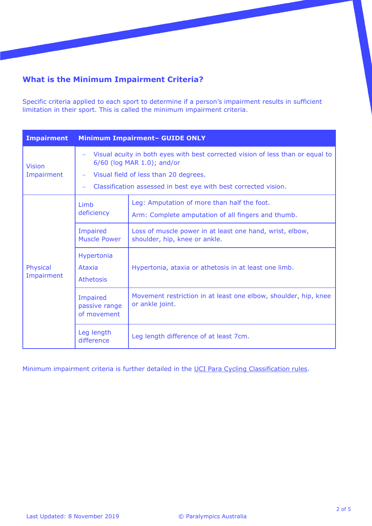# **What is the Minimum Impairment Criteria?**

Specific criteria applied to each sport to determine if a person's impairment results in sufficient limitation in their sport. This is called the minimum impairment criteria.

| <b>Impairment</b>           |                                          | <b>Minimum Impairment- GUIDE ONLY</b>                                                                                                                                                                                    |
|-----------------------------|------------------------------------------|--------------------------------------------------------------------------------------------------------------------------------------------------------------------------------------------------------------------------|
| <b>Vision</b><br>Impairment |                                          | Visual acuity in both eyes with best corrected vision of less than or equal to<br>6/60 (log MAR 1.0); and/or<br>Visual field of less than 20 degrees.<br>Classification assessed in best eye with best corrected vision. |
|                             | Limb<br>deficiency                       | Leg: Amputation of more than half the foot.<br>Arm: Complete amputation of all fingers and thumb.                                                                                                                        |
|                             | Impaired<br><b>Muscle Power</b>          | Loss of muscle power in at least one hand, wrist, elbow,<br>shoulder, hip, knee or ankle.                                                                                                                                |
| Physical<br>Impairment      | Hypertonia<br>Ataxia<br><b>Athetosis</b> | Hypertonia, ataxia or athetosis in at least one limb.                                                                                                                                                                    |
|                             | Impaired<br>passive range<br>of movement | Movement restriction in at least one elbow, shoulder, hip, knee<br>or ankle joint.                                                                                                                                       |
|                             | Leg length<br>difference                 | Leg length difference of at least 7cm.                                                                                                                                                                                   |

Minimum impairment criteria is further detailed in the [UCI Para Cycling Classification rules.](http://www.uci.ch/mm/Document/News/NewsGeneral/16/59/20/UCIClassificationGuide_English.pdf)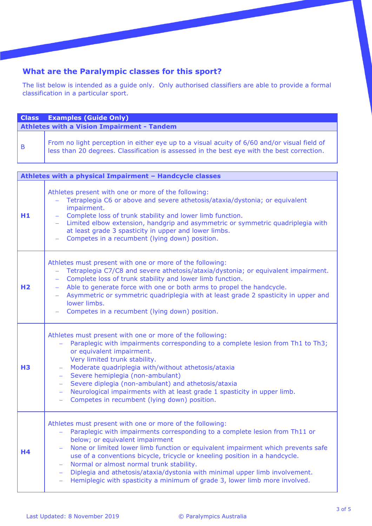# **What are the Paralympic classes for this sport?**

The list below is intended as a guide only. Only authorised classifiers are able to provide a formal classification in a particular sport.

|                | <b>Class</b> Examples (Guide Only)                                                                                                                                                        |
|----------------|-------------------------------------------------------------------------------------------------------------------------------------------------------------------------------------------|
|                | <b>Athletes with a Vision Impairment - Tandem</b>                                                                                                                                         |
| $\overline{B}$ | From no light perception in either eye up to a visual acuity of 6/60 and/or visual field of<br>less than 20 degrees. Classification is assessed in the best eye with the best correction. |

| Athletes with a physical Impairment - Handcycle classes |                                                                                                                                                                                                                                                                                                                                                                                                                                                                                                                                                        |  |
|---------------------------------------------------------|--------------------------------------------------------------------------------------------------------------------------------------------------------------------------------------------------------------------------------------------------------------------------------------------------------------------------------------------------------------------------------------------------------------------------------------------------------------------------------------------------------------------------------------------------------|--|
| H1                                                      | Athletes present with one or more of the following:<br>Tetraplegia C6 or above and severe athetosis/ataxia/dystonia; or equivalent<br>impairment.<br>Complete loss of trunk stability and lower limb function.<br>Limited elbow extension, handgrip and asymmetric or symmetric quadriplegia with<br>at least grade 3 spasticity in upper and lower limbs.<br>Competes in a recumbent (lying down) position.                                                                                                                                           |  |
| H <sub>2</sub>                                          | Athletes must present with one or more of the following:<br>Tetraplegia C7/C8 and severe athetosis/ataxia/dystonia; or equivalent impairment.<br>Complete loss of trunk stability and lower limb function.<br>Able to generate force with one or both arms to propel the handcycle.<br>Asymmetric or symmetric quadriplegia with at least grade 2 spasticity in upper and<br>lower limbs.<br>Competes in a recumbent (lying down) position.                                                                                                            |  |
| <b>H3</b>                                               | Athletes must present with one or more of the following:<br>Paraplegic with impairments corresponding to a complete lesion from Th1 to Th3;<br>or equivalent impairment.<br>Very limited trunk stability.<br>Moderate quadriplegia with/without athetosis/ataxia<br>Severe hemiplegia (non-ambulant)<br>Severe diplegia (non-ambulant) and athetosis/ataxia<br>Neurological impairments with at least grade 1 spasticity in upper limb.<br>$\frac{1}{2}$<br>Competes in recumbent (lying down) position.<br>$\frac{1}{2}$                              |  |
| H4                                                      | Athletes must present with one or more of the following:<br>Paraplegic with impairments corresponding to a complete lesion from Th11 or<br>below; or equivalent impairment<br>None or limited lower limb function or equivalent impairment which prevents safe<br>use of a conventions bicycle, tricycle or kneeling position in a handcycle.<br>Normal or almost normal trunk stability.<br>Diplegia and athetosis/ataxia/dystonia with minimal upper limb involvement.<br>Hemiplegic with spasticity a minimum of grade 3, lower limb more involved. |  |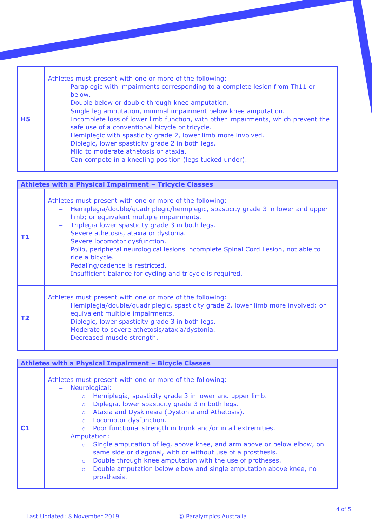| <b>H5</b> | Athletes must present with one or more of the following:<br>Paraplegic with impairments corresponding to a complete lesion from Th11 or<br>$\frac{1}{2}$ and $\frac{1}{2}$<br>below.<br>- Double below or double through knee amputation.<br>Single leg amputation, minimal impairment below knee amputation.<br>$\overline{\phantom{m}}$<br>Incomplete loss of lower limb function, with other impairments, which prevent the<br>$\sim$ .<br>safe use of a conventional bicycle or tricycle.<br>- Hemiplegic with spasticity grade 2, lower limb more involved.<br>Diplegic, lower spasticity grade 2 in both legs.<br>$\overline{\phantom{m}}$<br>- Mild to moderate athetosis or ataxia.<br>Can compete in a kneeling position (legs tucked under).<br>$\overline{\phantom{m}}$ |
|-----------|------------------------------------------------------------------------------------------------------------------------------------------------------------------------------------------------------------------------------------------------------------------------------------------------------------------------------------------------------------------------------------------------------------------------------------------------------------------------------------------------------------------------------------------------------------------------------------------------------------------------------------------------------------------------------------------------------------------------------------------------------------------------------------|
|-----------|------------------------------------------------------------------------------------------------------------------------------------------------------------------------------------------------------------------------------------------------------------------------------------------------------------------------------------------------------------------------------------------------------------------------------------------------------------------------------------------------------------------------------------------------------------------------------------------------------------------------------------------------------------------------------------------------------------------------------------------------------------------------------------|

|    | Athletes with a Physical Impairment - Tricycle Classes                                                                                                                                                                                                                                                                                                                                                                                                                                                                           |  |
|----|----------------------------------------------------------------------------------------------------------------------------------------------------------------------------------------------------------------------------------------------------------------------------------------------------------------------------------------------------------------------------------------------------------------------------------------------------------------------------------------------------------------------------------|--|
| Т1 | Athletes must present with one or more of the following:<br>Hemiplegia/double/quadriplegic/hemiplegic, spasticity grade 3 in lower and upper<br>limb; or equivalent multiple impairments.<br>Triplegia lower spasticity grade 3 in both legs.<br>Severe athetosis, ataxia or dystonia.<br>Severe locomotor dysfunction.<br>Polio, peripheral neurological lesions incomplete Spinal Cord Lesion, not able to<br>ride a bicycle.<br>Pedaling/cadence is restricted.<br>Insufficient balance for cycling and tricycle is required. |  |
| Τ2 | Athletes must present with one or more of the following:<br>Hemiplegia/double/quadriplegic, spasticity grade 2, lower limb more involved; or<br>equivalent multiple impairments.<br>Diplegic, lower spasticity grade 3 in both legs.<br>Moderate to severe athetosis/ataxia/dystonia.<br>Decreased muscle strength.                                                                                                                                                                                                              |  |

| Athletes with a Physical Impairment - Bicycle Classes |                                                                                                                                                                                                                                                                                                                                                                                                                                                                                                                                                                                                                                                                                                                                                     |
|-------------------------------------------------------|-----------------------------------------------------------------------------------------------------------------------------------------------------------------------------------------------------------------------------------------------------------------------------------------------------------------------------------------------------------------------------------------------------------------------------------------------------------------------------------------------------------------------------------------------------------------------------------------------------------------------------------------------------------------------------------------------------------------------------------------------------|
| C1                                                    | Athletes must present with one or more of the following:<br>Neurological:<br>$\equiv$<br>Hemiplegia, spasticity grade 3 in lower and upper limb.<br>$\circ$<br>Diplegia, lower spasticity grade 3 in both legs.<br>$\circ$<br>Ataxia and Dyskinesia (Dystonia and Athetosis).<br>$\circ$<br>Locomotor dysfunction.<br>$\circ$<br>Poor functional strength in trunk and/or in all extremities.<br>$\circ$<br>Amputation:<br>Single amputation of leg, above knee, and arm above or below elbow, on<br>$\circ$<br>same side or diagonal, with or without use of a prosthesis.<br>Double through knee amputation with the use of protheses.<br>$\circ$<br>Double amputation below elbow and single amputation above knee, no<br>$\circ$<br>prosthesis. |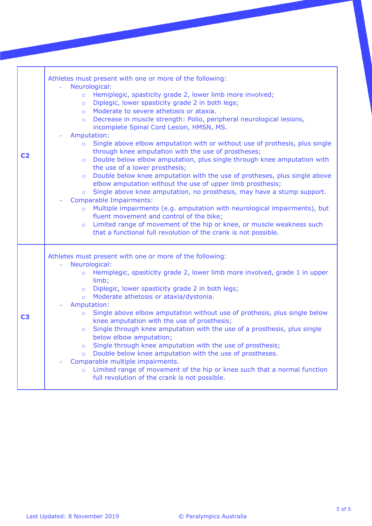| C <sub>2</sub> | Athletes must present with one or more of the following:<br>Neurological:<br>o Hemiplegic, spasticity grade 2, lower limb more involved;<br>Diplegic, lower spasticity grade 2 in both legs;<br>$\circ$<br>Moderate to severe athetosis or ataxia.<br>$\circ$<br>Decrease in muscle strength: Polio, peripheral neurological lesions,<br>$\circ$<br>incomplete Spinal Cord Lesion, HMSN, MS.<br>Amputation:<br>Single above elbow amputation with or without use of prothesis, plus single<br>$\circ$<br>through knee amputation with the use of prostheses;<br>Double below elbow amputation, plus single through knee amputation with<br>$\circ$<br>the use of a lower prosthesis;<br>Double below knee amputation with the use of protheses, plus single above<br>$\circ$<br>elbow amputation without the use of upper limb prosthesis;<br>Single above knee amputation, no prosthesis, may have a stump support.<br>$\circ$<br><b>Comparable Impairments:</b><br>Multiple impairments (e.g. amputation with neurological impairments), but<br>$\circ$<br>fluent movement and control of the bike;<br>Limited range of movement of the hip or knee, or muscle weakness such<br>$\circ$<br>that a functional full revolution of the crank is not possible. |
|----------------|--------------------------------------------------------------------------------------------------------------------------------------------------------------------------------------------------------------------------------------------------------------------------------------------------------------------------------------------------------------------------------------------------------------------------------------------------------------------------------------------------------------------------------------------------------------------------------------------------------------------------------------------------------------------------------------------------------------------------------------------------------------------------------------------------------------------------------------------------------------------------------------------------------------------------------------------------------------------------------------------------------------------------------------------------------------------------------------------------------------------------------------------------------------------------------------------------------------------------------------------------------------|
| C <sub>3</sub> | Athletes must present with one or more of the following:<br>Neurological:<br>Hemiplegic, spasticity grade 2, lower limb more involved, grade 1 in upper<br>$\circ$<br>limb;<br>o Diplegic, lower spasticity grade 2 in both legs;<br>Moderate athetosis or ataxia/dystonia.<br>$\circ$<br>Amputation:<br>Single above elbow amputation without use of prothesis, plus single below<br>$\circ$<br>knee amputation with the use of prosthesis;<br>Single through knee amputation with the use of a prosthesis, plus single<br>$\circ$<br>below elbow amputation;<br>Single through knee amputation with the use of prosthesis;<br>$\circ$<br>Double below knee amputation with the use of prostheses.<br>$\circ$<br>Comparable multiple impairments.<br>Limited range of movement of the hip or knee such that a normal function<br>$\circ$<br>full revolution of the crank is not possible.                                                                                                                                                                                                                                                                                                                                                                   |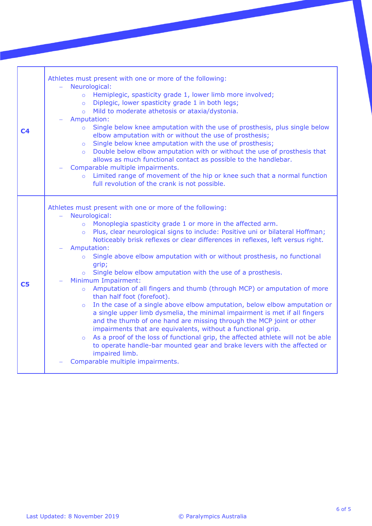| C <sub>4</sub> | Athletes must present with one or more of the following:<br>Neurological:<br>Ξ.<br>o Hemiplegic, spasticity grade 1, lower limb more involved;<br>Diplegic, lower spasticity grade 1 in both legs;<br>$\circ$<br>Mild to moderate athetosis or ataxia/dystonia.<br>$\Omega$<br>Amputation:<br>Single below knee amputation with the use of prosthesis, plus single below<br>$\circ$<br>elbow amputation with or without the use of prosthesis;<br>Single below knee amputation with the use of prosthesis;<br>$\circ$<br>Double below elbow amputation with or without the use of prosthesis that<br>$\overline{O}$<br>allows as much functional contact as possible to the handlebar.<br>Comparable multiple impairments.<br>o Limited range of movement of the hip or knee such that a normal function<br>full revolution of the crank is not possible.                                                                                                                                                                                                                                                                                                                                                 |
|----------------|-----------------------------------------------------------------------------------------------------------------------------------------------------------------------------------------------------------------------------------------------------------------------------------------------------------------------------------------------------------------------------------------------------------------------------------------------------------------------------------------------------------------------------------------------------------------------------------------------------------------------------------------------------------------------------------------------------------------------------------------------------------------------------------------------------------------------------------------------------------------------------------------------------------------------------------------------------------------------------------------------------------------------------------------------------------------------------------------------------------------------------------------------------------------------------------------------------------|
| C <sub>5</sub> | Athletes must present with one or more of the following:<br>Neurological:<br>Monoplegia spasticity grade 1 or more in the affected arm.<br>$\circ$<br>o Plus, clear neurological signs to include: Positive uni or bilateral Hoffman;<br>Noticeably brisk reflexes or clear differences in reflexes, left versus right.<br>Amputation:<br>Single above elbow amputation with or without prosthesis, no functional<br>$\circ$<br>qrip;<br>Single below elbow amputation with the use of a prosthesis.<br>$\circ$<br>Minimum Impairment:<br>Amputation of all fingers and thumb (through MCP) or amputation of more<br>$\circ$<br>than half foot (forefoot).<br>In the case of a single above elbow amputation, below elbow amputation or<br>$\circ$<br>a single upper limb dysmelia, the minimal impairment is met if all fingers<br>and the thumb of one hand are missing through the MCP joint or other<br>impairments that are equivalents, without a functional grip.<br>As a proof of the loss of functional grip, the affected athlete will not be able<br>$\circ$<br>to operate handle-bar mounted gear and brake levers with the affected or<br>impaired limb.<br>Comparable multiple impairments. |